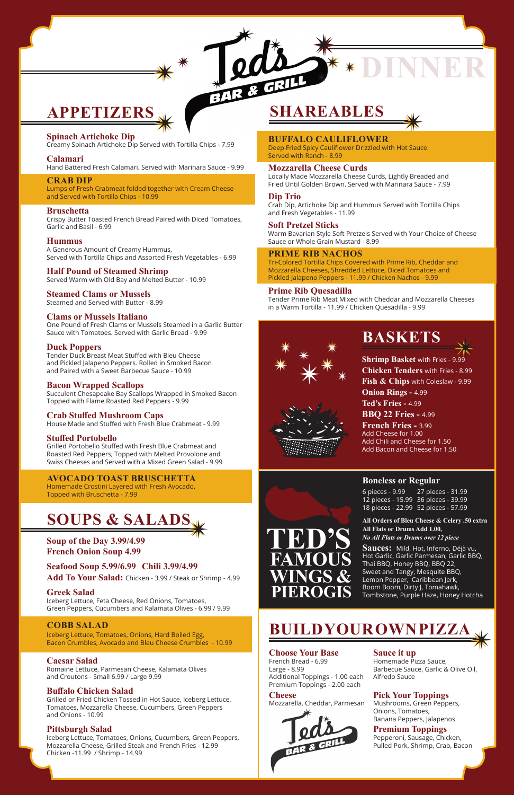### **SOUPS & SALADS**

**Soup of the Day 3.99/4.99 French Onion Soup 4.99**

**Seafood Soup 5.99/6.99 Chili 3.99/4.99 Add To Your Salad:** Chicken - 3.99 / Steak or Shrimp - 4.99

#### **Greek Salad**

Iceberg Lettuce, Feta Cheese, Red Onions, Tomatoes, Green Peppers, Cucumbers and Kalamata Olives - 6.99 / 9.99

#### **COBB SALAD**

Iceberg Lettuce, Tomatoes, Onions, Hard Boiled Egg, Bacon Crumbles, Avocado and Bleu Cheese Crumbles - 10.99

#### **Caesar Salad**

Romaine Lettuce, Parmesan Cheese, Kalamata Olives and Croutons - Small 6.99 / Large 9.99

#### **Buffalo Chicken Salad**

Grilled or Fried Chicken Tossed in Hot Sauce, Iceberg Lettuce, Tomatoes, Mozzarella Cheese, Cucumbers, Green Peppers and Onions - 10.99

#### **Pittsburgh Salad**

Iceberg Lettuce, Tomatoes, Onions, Cucumbers, Green Peppers, Mozzarella Cheese, Grilled Steak and French Fries - 12.99 Chicken -11.99 / Shrimp - 14.99

### **APPETIZERS**

#### **Choose Your Base**

French Bread - 6.99 Large - 8.99 Additional Toppings - 1.00 each Premium Toppings - 2.00 each

#### **Cheese**

Mozzarella, Cheddar, Parmesan



#### **Sauce it up**

Homemade Pizza Sauce, Barbecue Sauce, Garlic & Olive Oil, Alfredo Sauce

#### **Pick Your Toppings**

Mushrooms, Green Peppers, Onions, Tomatoes, Banana Peppers, Jalapenos

#### **Premium Toppings**

Pepperoni, Sausage, Chicken, Pulled Pork, Shrimp, Crab, Bacon

**Shrimp Basket** with Fries - 9.99 **Chicken Tenders** with Fries - 8.99 **Fish & Chips** with Coleslaw - 9.99 **Onion Rings - 4.99 Ted's Fries -** 4.99 **BBQ 22 Fries -** 4.99 **French Fries -** 3.99

Add Cheese for 1.00 Add Chili and Cheese for 1.50 Add Bacon and Cheese for 1.50



### **PIEROGIS**

**All Orders of Bleu Cheese & Celery .50 extra All Flats or Drums Add 1.00,**  *No All Flats or Drums over 12 piece* 

**Sauces:** Mild, Hot, Inferno, Déjà vu, Hot Garlic, Garlic Parmesan, Garlic BBQ, Thai BBQ, Honey BBQ, BBQ 22, Sweet and Tangy, Mesquite BBQ, Lemon Pepper, Caribbean Jerk,

Boom Boom, Dirty J, Tomahawk, Tombstone, Purple Haze, Honey Hotcha

#### **Boneless or Regular**

6 pieces - 9.99 12 pieces - 15.99 36 pieces - 39.99 18 pieces - 22.99 52 pieces - 57.99 27 pieces - 31.99

### **SHAREABLES**

### **BASKETS**

### **BUILD YOUR OWN PIZZA**

**DINNER**

#### **Spinach Artichoke Dip**

Creamy Spinach Artichoke Dip Served with Tortilla Chips - 7.99

#### **Calamari**

Hand Battered Fresh Calamari. Served with Marinara Sauce - 9.99

#### **CRAB DIP**

Lumps of Fresh Crabmeat folded together with Cream Cheese and Served with Tortilla Chips - 10.99

#### **Bruschetta**

Crispy Butter Toasted French Bread Paired with Diced Tomatoes, Garlic and Basil - 6.99

#### **Hummus**

A Generous Amount of Creamy Hummus, Served with Tortilla Chips and Assorted Fresh Vegetables - 6.99

#### **Half Pound of Steamed Shrimp**

Served Warm with Old Bay and Melted Butter - 10.99

#### **Steamed Clams or Mussels**

Steamed and Served with Butter - 8.99

#### **Clams or Mussels Italiano**

One Pound of Fresh Clams or Mussels Steamed in a Garlic Butter Sauce with Tomatoes. Served with Garlic Bread - 9.99

#### **Duck Poppers**

Tender Duck Breast Meat Stuffed with Bleu Cheese and Pickled Jalapeno Peppers. Rolled in Smoked Bacon and Paired with a Sweet Barbecue Sauce - 10.99

#### **Bacon Wrapped Scallops**

Succulent Chesapeake Bay Scallops Wrapped in Smoked Bacon Topped with Flame Roasted Red Peppers - 9.99

#### **Crab Stuffed Mushroom Caps**

House Made and Stuffed with Fresh Blue Crabmeat - 9.99

#### **Stuffed Portobello**

Grilled Portobello Stuffed with Fresh Blue Crabmeat and Roasted Red Peppers, Topped with Melted Provolone and Swiss Cheeses and Served with a Mixed Green Salad - 9.99

#### **AVOCADO TOAST BRUSCHETTA**

Homemade Crostini Layered with Fresh Avocado, Topped with Bruschetta - 7.99

#### **BUFFALO CAULIFLOWER** Deep Fried Spicy Cauliflower Drizzled with Hot Sauce.

Served with Ranch - 8.99

**Mozzarella Cheese Curds** Locally Made Mozzarella Cheese Curds, Lightly Breaded and Fried Until Golden Brown. Served with Marinara Sauce - 7.99

#### **Dip Trio**

 $34R$ 

Crab Dip, Artichoke Dip and Hummus Served with Tortilla Chips and Fresh Vegetables - 11.99

#### **Soft Pretzel Sticks**

Warm Bavarian Style Soft Pretzels Served with Your Choice of Cheese Sauce or Whole Grain Mustard - 8.99

#### **PRIME RIB NACHOS**

Tri-Colored Tortilla Chips Covered with Prime Rib, Cheddar and Mozzarella Cheeses, Shredded Lettuce, Diced Tomatoes and Pickled Jalapeno Peppers - 11.99 / Chicken Nachos - 9.99

#### **Prime Rib Quesadilla**

Tender Prime Rib Meat Mixed with Cheddar and Mozzarella Cheeses in a Warm Tortilla - 11.99 / Chicken Quesadilla - 9.99